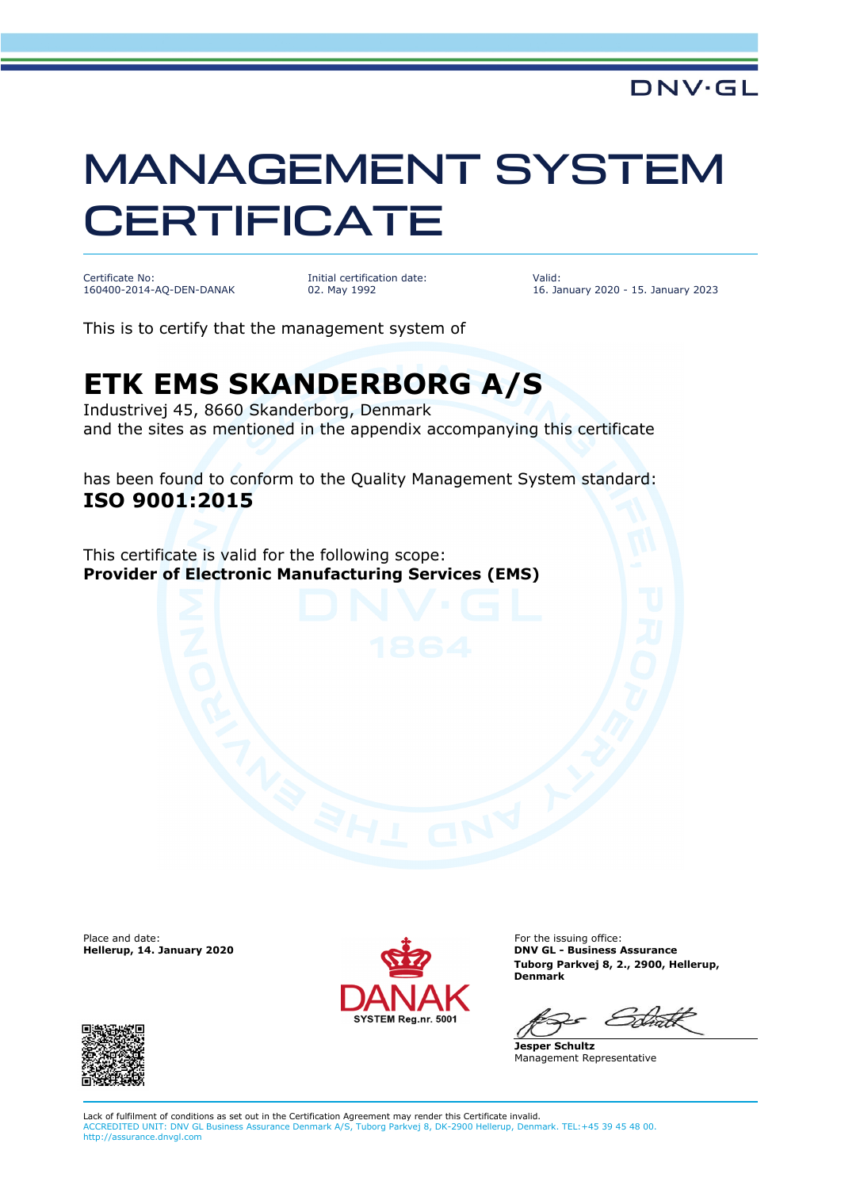## MANAGEMENT SYSTEM **CERTIFICATE**

Certificate No: 160400-2014-AQ-DEN-DANAK Initial certification date: 02. May 1992

Valid: 16. January 2020 - 15. January 2023

This is to certify that the management system of

## **ETK EMS SKANDERBORG A/S**

Industrivej 45, 8660 Skanderborg, Denmark and the sites as mentioned in the appendix accompanying this certificate

has been found to conform to the Quality Management System standard: **ISO 9001:2015**

This certificate is valid for the following scope: **Provider of Electronic Manufacturing Services (EMS)**

Place and date:<br>Hellerup, 14. January 2020



For the issuing office: **DNV GL - Business Assurance Tuborg Parkvej 8, 2., 2900, Hellerup, Denmark**

**Jesper Schultz** Management Representative



Lack of fulfilment of conditions as set out in the Certification Agreement may render this Certificate invalid. ACCREDITED UNIT: DNV GL Business Assurance Denmark A/S, Tuborg Parkvej 8, DK-2900 Hellerup, Denmark. TEL:+45 39 45 48 00. http://assurance.dnvgl.com